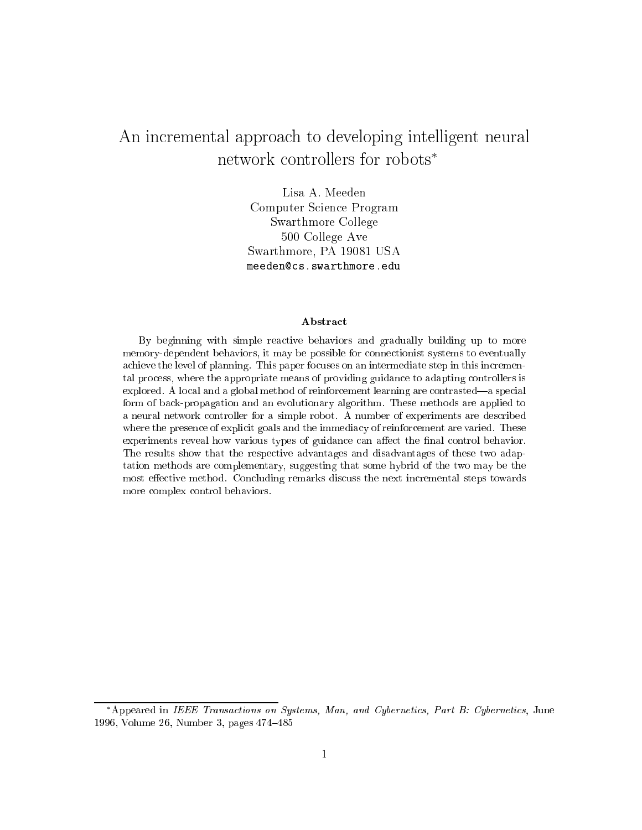# An incremental approach to developing intelligent neural network controllers for robots

Lisa A. Meeden Computer Science Program Swarthmore College 500 College Ave Swarthmore, PA 19081 USA meeden@cs.swarthmore.edu

### Abstract

By beginning with simple reactive behaviors and gradually building up to more memory-dependent behaviors, it may be possible for connectionist systems to eventually achieve the level of planning. This paper focuses on an intermediate step in this incremental process, where the appropriate means of providing guidance to adapting controllers is explored. A local and a global method of reinforcement learning are contrasted—a special form of back-propagation and an evolutionary algorithm. These methods are applied to a neural network controller for a simple robot. A number of experiments are described where the presence of explicit goals and the immediacy of reinforcement are varied. These experiments reveal how various types of guidance can affect the final control behavior. The results show that the respective advantages and disadvantages of these two adaptation methods are complementary, suggesting that some hybrid of the two may be the most effective method. Concluding remarks discuss the next incremental steps towards more complex control behaviors.

Appeared in IEEE Transactions on Systems, Man, and Cybernetics, Part B: Cybernetics, June 1996, Volume 26, Number 3, pages 474-485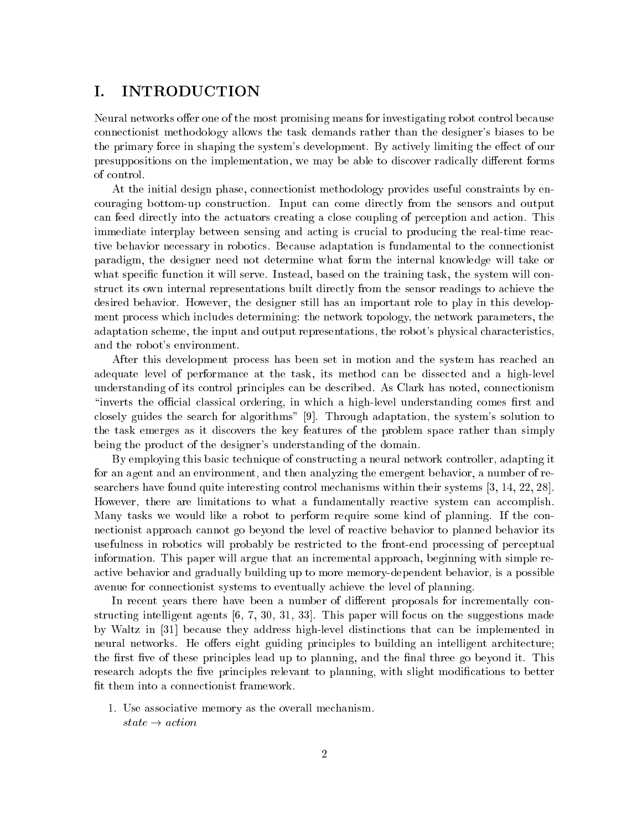# I. INTRODUCTION

Neural networks offer one of the most promising means for investigating robot control because connectionist methodology allows the task demands rather than the designer's biases to be the primary force in shaping the system's development. By actively limiting the effect of our presuppositions on the implementation, we may be able to discover radically different forms of control.

At the initial design phase, connectionist methodology provides useful constraints by encouraging bottom-up construction. Input can come directly from the sensors and output can feed directly into the actuators creating a close coupling of perception and action. This immediate interplay between sensing and acting is crucial to producing the real-time reactive behavior necessary in robotics. Because adaptation is fundamental to the connectionist paradigm, the designer need not determine what form the internal knowledge will take or what specific function it will serve. Instead, based on the training task, the system will construct its own internal representations built directly from the sensor readings to achieve the desired behavior. However, the designer still has an important role to play in this development process which includes determining: the network topology, the network parameters, the adaptation scheme, the input and output representations, the robot's physical characteristics, and the robot's environment.

After this development process has been set in motion and the system has reached an adequate level of performance at the task, its method can be dissected and a high-level understanding of its control principles can be described. As Clark has noted, connectionism "inverts the official classical ordering, in which a high-level understanding comes first and closely guides the search for algorithms" [9]. Through adaptation, the system's solution to the task emerges as it discovers the key features of the problem space rather than simply being the product of the designer's understanding of the domain.

By employing this basic technique of constructing a neural network controller, adapting it for an agent and an environment, and then analyzing the emergent behavior, a number of researchers have found quite interesting control mechanisms within their systems [3, 14, 22, 28]. However, there are limitations to what a fundamentally reactive system can accomplish. Many tasks we would like a robot to perform require some kind of planning. If the connectionist approach cannot go beyond the level of reactive behavior to planned behavior its usefulness in robotics will probably be restricted to the front-end processing of perceptual information. This paper will argue that an incremental approach, beginning with simple reactive behavior and gradually building up to more memory-dependent behavior, is a possible avenue for connectionist systems to eventually achieve the level of planning.

In recent years there have been a number of different proposals for incrementally constructing intelligent agents [6, 7, 30, 31, 33]. This paper will focus on the suggestions made by Waltz in [31] because they address high-level distinctions that can be implemented in neural networks. He offers eight guiding principles to building an intelligent architecture; the first five of these principles lead up to planning, and the final three go beyond it. This research adopts the five principles relevant to planning, with slight modifications to better fit them into a connectionist framework.

1. Use associative memory as the overall mechanism.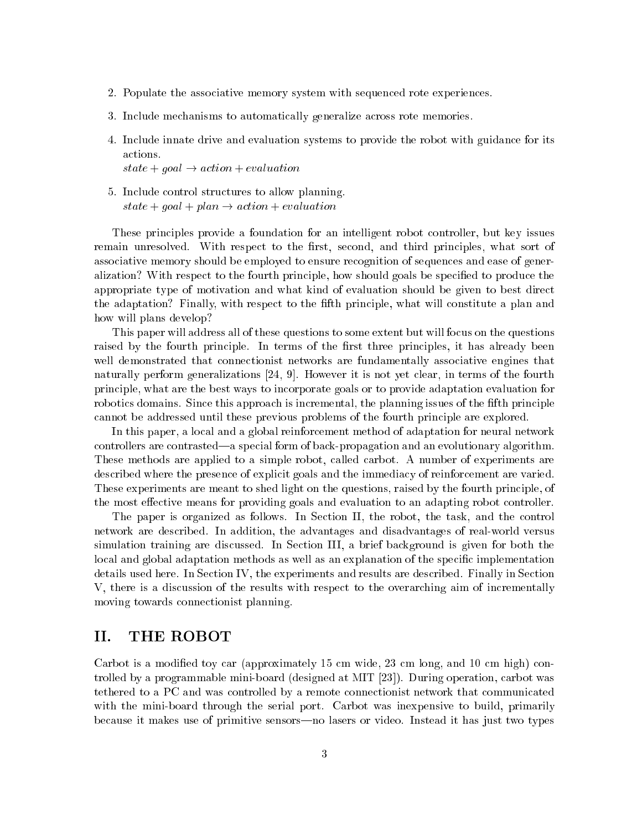- 2. Populate the associative memory system with sequenced rote experiences.
- 3. Include mechanisms to automatically generalize across rote memories.
- 4. Include innate drive and evaluation systems to provide the robot with guidance for its actions.
	- state + goal + evaluation + evaluation + evaluation + evaluation + evaluation + evaluation + evaluation + eval
- 5. Include control structures to allow planning. state + grace + plants + evaluation + evaluation +

These principles provide a foundation for an intelligent robot controller, but key issues remain unresolved. With respect to the first, second, and third principles, what sort of associative memory should be employed to ensure recognition of sequences and ease of generalization? With respect to the fourth principle, how should goals be specified to produce the appropriate type of motivation and what kind of evaluation should be given to best direct the adaptation? Finally, with respect to the fth principle, what will constitute a plan and how will plans develop?

This paper will address all of these questions to some extent but will focus on the questions raised by the fourth principle. In terms of the first three principles, it has already been well demonstrated that connectionist networks are fundamentally associative engines that naturally perform generalizations [24, 9]. However it is not yet clear, in terms of the fourth principle, what are the best ways to incorporate goals or to provide adaptation evaluation for robotics domains. Since this approach is incremental, the planning issues of the fth principle cannot be addressed until these previous problems of the fourth principle are explored.

In this paper, a local and a global reinforcement method of adaptation for neural network controllers are contrasted—a special form of back-propagation and an evolutionary algorithm. These methods are applied to a simple robot, called carbot. A number of experiments are described where the presence of explicit goals and the immediacy of reinforcement are varied. These experiments are meant to shed light on the questions, raised by the fourth principle, of the most effective means for providing goals and evaluation to an adapting robot controller.

The paper is organized as follows. In Section II, the robot, the task, and the control network are described. In addition, the advantages and disadvantages of real-world versus simulation training are discussed. In Section III, a brief background is given for both the local and global adaptation methods as well as an explanation of the specic implementation details used here. In Section IV, the experiments and results are described. Finally in Section V, there is a discussion of the results with respect to the overarching aim of incrementally moving towards connectionist planning.

# II. THE ROBOT

Carbot is a modified toy car (approximately 15 cm wide, 23 cm long, and 10 cm high) controlled by a programmable mini-board (designed at MIT [23]). During operation, carbot was tethered to a PC and was controlled by a remote connectionist network that communicated with the mini-board through the serial port. Carbot was inexpensive to build, primarily because it makes use of primitive sensors—no lasers or video. Instead it has just two types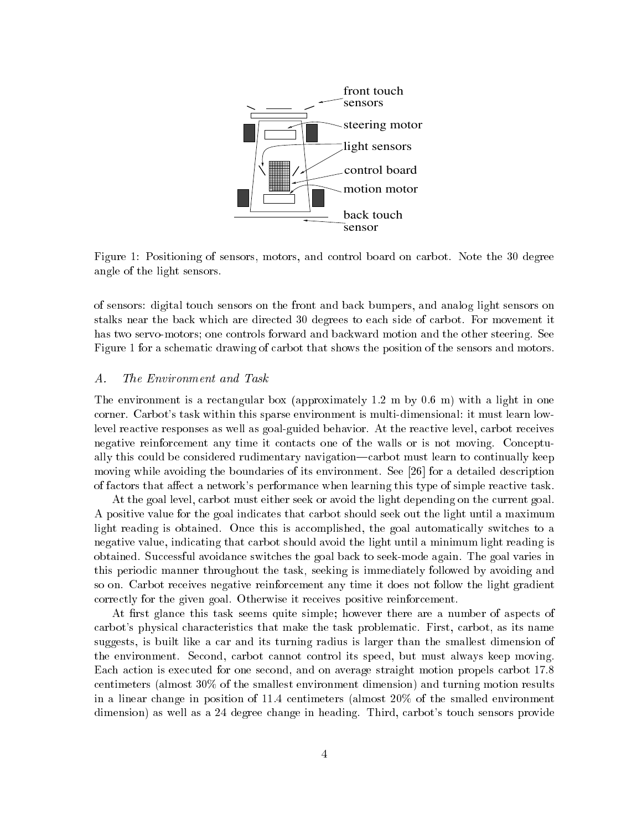

Figure 1: Positioning of sensors, motors, and control board on carbot. Note the 30 degree angle of the light sensors.

of sensors: digital touch sensors on the front and back bumpers, and analog light sensors on stalks near the back which are directed 30 degrees to each side of carbot. For movement it has two servo-motors; one controls forward and backward motion and the other steering. See Figure 1 for a schematic drawing of carbot that shows the position of the sensors and motors.

### A. The Environment and Task

The environment is a rectangular box (approximately 1.2 m by 0.6 m) with a light in one corner. Carbot's task within this sparse environment is multi-dimensional: it must learn lowlevel reactive responses as well as goal-guided behavior. At the reactive level, carbot receives negative reinforcement any time it contacts one of the walls or is not moving. Conceptually this could be considered rudimentary navigation-carbot must learn to continually keep moving while avoiding the boundaries of its environment. See [26] for a detailed description of factors that affect a network's performance when learning this type of simple reactive task.

At the goal level, carbot must either seek or avoid the light depending on the current goal. A positive value for the goal indicates that carbot should seek out the light until a maximum light reading is obtained. Once this is accomplished, the goal automatically switches to a negative value, indicating that carbot should avoid the light until a minimum light reading is obtained. Successful avoidance switches the goal back to seek-mode again. The goal varies in this periodic manner throughout the task, seeking is immediately followed by avoiding and so on. Carbot receives negative reinforcement any time it does not follow the light gradient correctly for the given goal. Otherwise it receives positive reinforcement.

At first glance this task seems quite simple; however there are a number of aspects of carbot's physical characteristics that make the task problematic. First, carbot, as its name suggests, is built like a car and its turning radius is larger than the smallest dimension of the environment. Second, carbot cannot control its speed, but must always keep moving. Each action is executed for one second, and on average straight motion propels carbot 17.8 centimeters (almost 30% of the smallest environment dimension) and turning motion results in a linear change in position of 11.4 centimeters (almost 20% of the smalled environment dimension) as well as a 24 degree change in heading. Third, carbot's touch sensors provide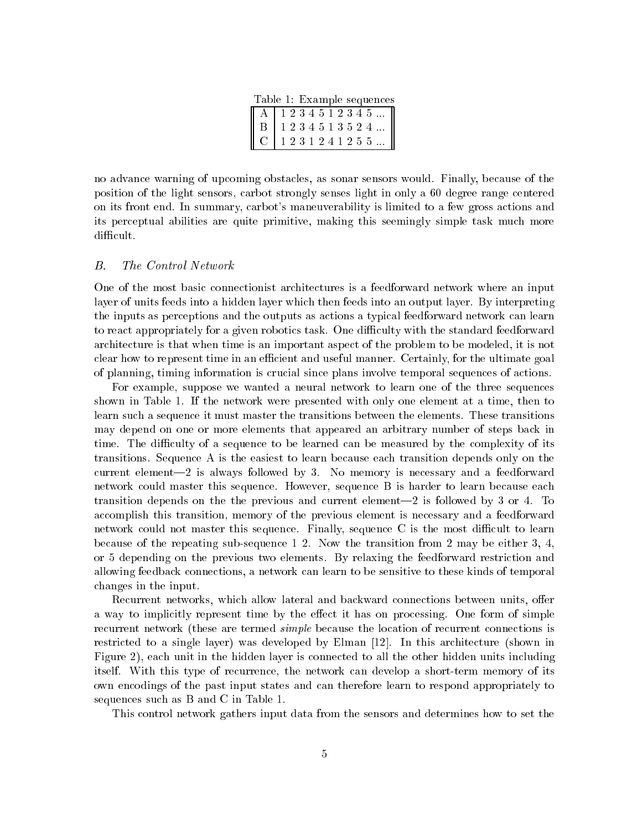Table 1: Example sequences

| $\begin{array}{ c c c c c } \hline A & 1 & 2 & 3 & 4 & 5 & 1 & 2 & 3 & 4 & 5 & \dots \\ \hline B & 1 & 2 & 3 & 4 & 5 & 1 & 3 & 5 & 2 & 4 & \dots \\ \hline C & 1 & 2 & 3 & 1 & 2 & 4 & 1 & 2 & 5 & 5 & \dots \\ \hline \end{array}$ |
|-------------------------------------------------------------------------------------------------------------------------------------------------------------------------------------------------------------------------------------|

no advance warning of upcoming obstacles, as sonar sensors would. Finally, because of the position of the light sensors, carbot strongly senses light in only a 60 degree range centered on its front end. In summary, carbot's maneuverability is limited to a few gross actions and its perceptual abilities are quite primitive, making this seemingly simple task much more difficult.

#### В. B. The Control Network

One of the most basic connectionist architectures is a feedforward network where an input layer of units feeds into a hidden layer which then feeds into an output layer. By interpreting the inputs as perceptions and the outputs as actions a typical feedforward network can learn to react appropriately for a given robotics task. One difficulty with the standard feedforward architecture is that when time is an important aspect of the problem to be modeled, it is not clear how to represent time in an efficient and useful manner. Certainly, for the ultimate goal of planning, timing information is crucial since plans involve temporal sequences of actions.

For example, suppose we wanted a neural network to learn one of the three sequences shown in Table 1. If the network were presented with only one element at a time, then to learn such a sequence it must master the transitions between the elements. These transitions may depend on one or more elements that appeared an arbitrary number of steps back in time. The difficulty of a sequence to be learned can be measured by the complexity of its transitions. Sequence A is the easiest to learn because each transition depends only on the current element $-2$  is always followed by 3. No memory is necessary and a feedforward network could master this sequence. However, sequence B is harder to learn because each transition depends on the the previous and current element $-2$  is followed by 3 or 4. To accomplish this transition, memory of the previous element is necessary and a feedforward network could not master this sequence. Finally, sequence  $C$  is the most difficult to learn because of the repeating sub-sequence 1 2. Now the transition from 2 may be either 3, 4, or 5 depending on the previous two elements. By relaxing the feedforward restriction and allowing feedback connections, a network can learn to be sensitive to these kinds of temporal changes in the input.

Recurrent networks, which allow lateral and backward connections between units, offer a way to implicitly represent time by the effect it has on processing. One form of simple recurrent network (these are termed *simple* because the location of recurrent connections is restricted to a single layer) was developed by Elman [12]. In this architecture (shown in Figure 2), each unit in the hidden layer is connected to all the other hidden units including itself. With this type of recurrence, the network can develop a short-term memory of its own encodings of the past input states and can therefore learn to respond appropriately to sequences such as B and C in Table 1.

This control network gathers input data from the sensors and determines how to set the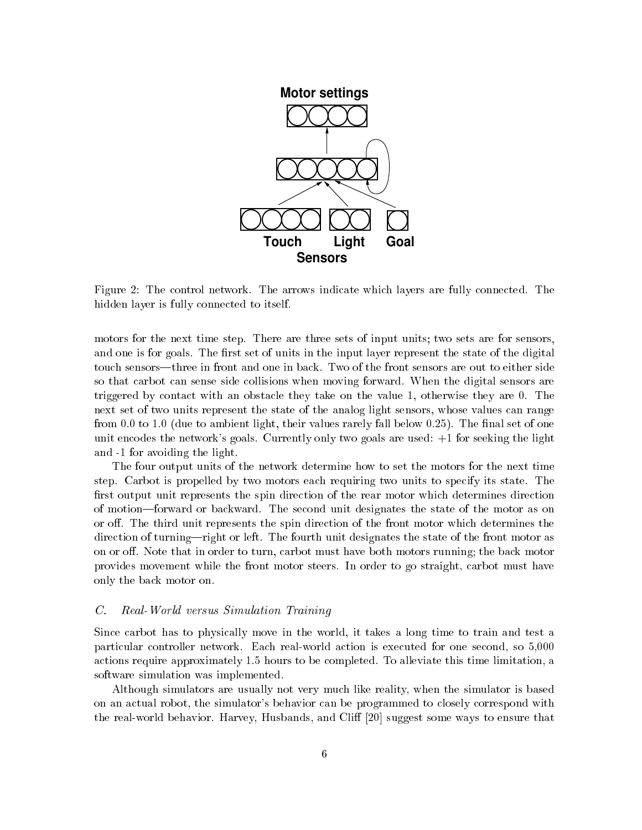

Figure 2: The control network. The arrows indicate which layers are fully connected. The hidden layer is fully connected to itself.

motors for the next time step. There are three sets of input units; two sets are for sensors, and one is for goals. The first set of units in the input layer represent the state of the digital touch sensors—three in front and one in back. Two of the front sensors are out to either side so that carbot can sense side collisions when moving forward. When the digital sensors are triggered by contact with an obstacle they take on the value 1, otherwise they are 0. The next set of two units represent the state of the analog light sensors, whose values can range from 0.0 to 1.0 (due to ambient light, their values rarely fall below 0.25). The final set of one unit encodes the network's goals. Currently only two goals are used: +1 for seeking the light and -1 for avoiding the light.

The four output units of the network determine how to set the motors for the next time step. Carbot is propelled by two motors each requiring two units to specify its state. The first output unit represents the spin direction of the rear motor which determines direction of motion—forward or backward. The second unit designates the state of the motor as on or off. The third unit represents the spin direction of the front motor which determines the direction of turning—right or left. The fourth unit designates the state of the front motor as on or off. Note that in order to turn, carbot must have both motors running; the back motor provides movement while the front motor steers. In order to go straight, carbot must have only the back motor on.

### C. Real-World versus Simulation Training

Since carbot has to physically move in the world, it takes a long time to train and test a particular controller network. Each real-world action is executed for one second, so 5,000 actions require approximately 1.5 hours to be completed. To alleviate this time limitation, a software simulation was implemented.

Although simulators are usually not very much like reality, when the simulator is based on an actual robot, the simulator's behavior can be programmed to closely correspond with the real-world behavior. Harvey, Husbands, and Cliff [20] suggest some ways to ensure that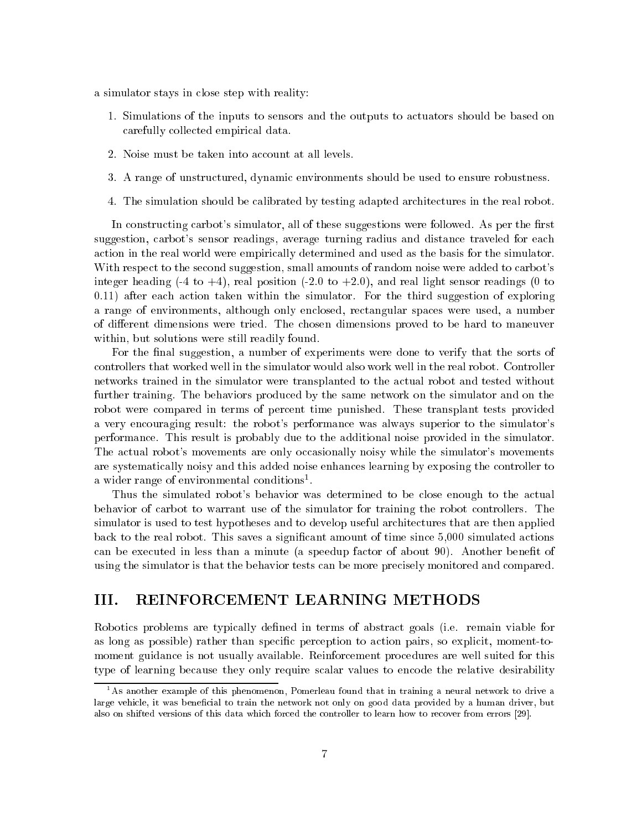a simulator stays in close step with reality:

- 1. Simulations of the inputs to sensors and the outputs to actuators should be based on carefully collected empirical data.
- 2. Noise must be taken into account at all levels.
- 3. A range of unstructured, dynamic environments should be used to ensure robustness.
- 4. The simulation should be calibrated by testing adapted architectures in the real robot.

In constructing carbot's simulator, all of these suggestions were followed. As per the first suggestion, carbot's sensor readings, average turning radius and distance traveled for each action in the real world were empirically determined and used as the basis for the simulator. With respect to the second suggestion, small amounts of random noise were added to carbot's integer heading  $(-4 \text{ to } +4)$ , real position  $(-2.0 \text{ to } +2.0)$ , and real light sensor readings  $(0 \text{ to } +2.0)$ 0.11) after each action taken within the simulator. For the third suggestion of exploring a range of environments, although only enclosed, rectangular spaces were used, a number of different dimensions were tried. The chosen dimensions proved to be hard to maneuver within, but solutions were still readily found.

For the final suggestion, a number of experiments were done to verify that the sorts of controllers that worked well in the simulator would also work well in the real robot. Controller networks trained in the simulator were transplanted to the actual robot and tested without further training. The behaviors produced by the same network on the simulator and on the robot were compared in terms of percent time punished. These transplant tests provided a very encouraging result: the robot's performance was always superior to the simulator's performance. This result is probably due to the additional noise provided in the simulator. The actual robot's movements are only occasionally noisy while the simulator's movements are systematically noisy and this added noise enhances learning by exposing the controller to a wider range of environmental conditions .

Thus the simulated robot's behavior was determined to be close enough to the actual behavior of carbot to warrant use of the simulator for training the robot controllers. The simulator is used to test hypotheses and to develop useful architectures that are then applied back to the real robot. This saves a significant amount of time since 5,000 simulated actions can be executed in less than a minute (a speedup factor of about 90). Another benet of using the simulator is that the behavior tests can be more precisely monitored and compared.

# III. REINFORCEMENT LEARNING METHODS

Robotics problems are typically defined in terms of abstract goals (i.e. remain viable for as long as possible) rather than specic perception to action pairs, so explicit, moment-tomoment guidance is not usually available. Reinforcement procedures are well suited for this type of learning because they only require scalar values to encode the relative desirability

<sup>1</sup> As another example of this phenomenon, Pomerleau found that in training a neural network to drive a large vehicle, it was beneficial to train the network not only on good data provided by a human driver, but also on shifted versions of this data which forced the controller to learn how to recover from errors [29].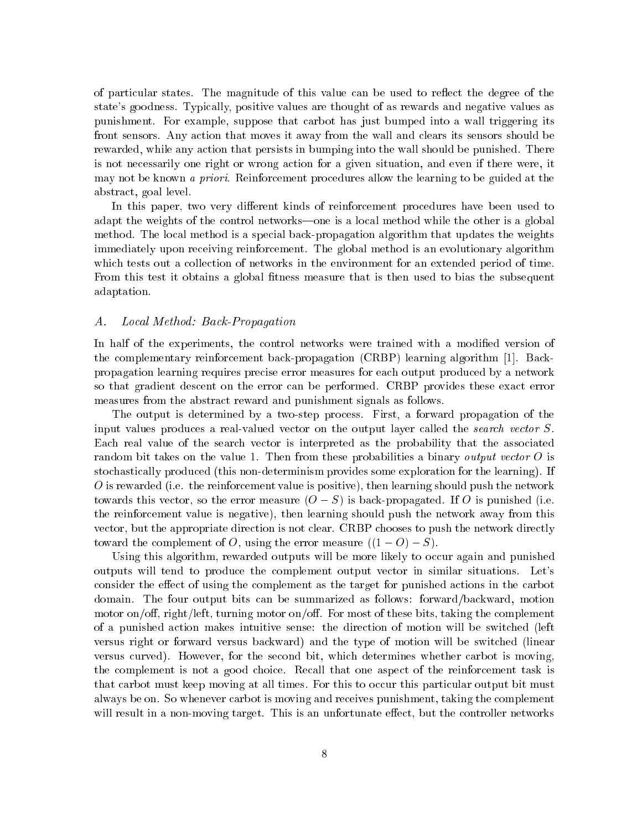of particular states. The magnitude of this value can be used to reflect the degree of the state's goodness. Typically, positive values are thought of as rewards and negative values as punishment. For example, suppose that carbot has just bumped into a wall triggering its front sensors. Any action that moves it away from the wall and clears its sensors should be rewarded, while any action that persists in bumping into the wall should be punished. There is not necessarily one right or wrong action for a given situation, and even if there were, it may not be known a priori. Reinforcement procedures allow the learning to be guided at the abstract, goal level.

In this paper, two very different kinds of reinforcement procedures have been used to adapt the weights of the control networks—one is a local method while the other is a global method. The local method is a special back-propagation algorithm that updates the weights immediately upon receiving reinforcement. The global method is an evolutionary algorithm which tests out a collection of networks in the environment for an extended period of time. From this test it obtains a global fitness measure that is then used to bias the subsequent adaptation.

### A. Local Method: Back-Propagation

In half of the experiments, the control networks were trained with a modified version of the complementary reinforcement back-propagation (CRBP) learning algorithm [1]. Backpropagation learning requires precise error measures for each output produced by a network so that gradient descent on the error can be performed. CRBP provides these exact error measures from the abstract reward and punishment signals as follows.

The output is determined by a two-step process. First, a forward propagation of the input values produces a real-valued vector on the output layer called the search vector S. Each real value of the search vector is interpreted as the probability that the associated random bit takes on the value 1. Then from these probabilities a binary *output vector*  $O$  is stochastically produced (this non-determinism provides some exploration for the learning). If O is rewarded (i.e. the reinforcement value is positive), then learning should push the network towards this vector, so the error measure  $(O - S)$  is back-propagated. If O is punished (i.e. the reinforcement value is negative), then learning should push the network away from this vector, but the appropriate direction is not clear. CRBP chooses to push the network directly toward the complement of O, using the error measure  $((1 - O) - S)$ .

Using this algorithm, rewarded outputs will be more likely to occur again and punished outputs will tend to produce the complement output vector in similar situations. Let's consider the effect of using the complement as the target for punished actions in the carbot domain. The four output bits can be summarized as follows: forward/backward, motion motor on/off, right/left, turning motor on/off. For most of these bits, taking the complement of a punished action makes intuitive sense: the direction of motion will be switched (left versus right or forward versus backward) and the type of motion will be switched (linear versus curved). However, for the second bit, which determines whether carbot is moving, the complement is not a good choice. Recall that one aspect of the reinforcement task is that carbot must keep moving at all times. For this to occur this particular output bit must always be on. So whenever carbot is moving and receives punishment, taking the complement will result in a non-moving target. This is an unfortunate effect, but the controller networks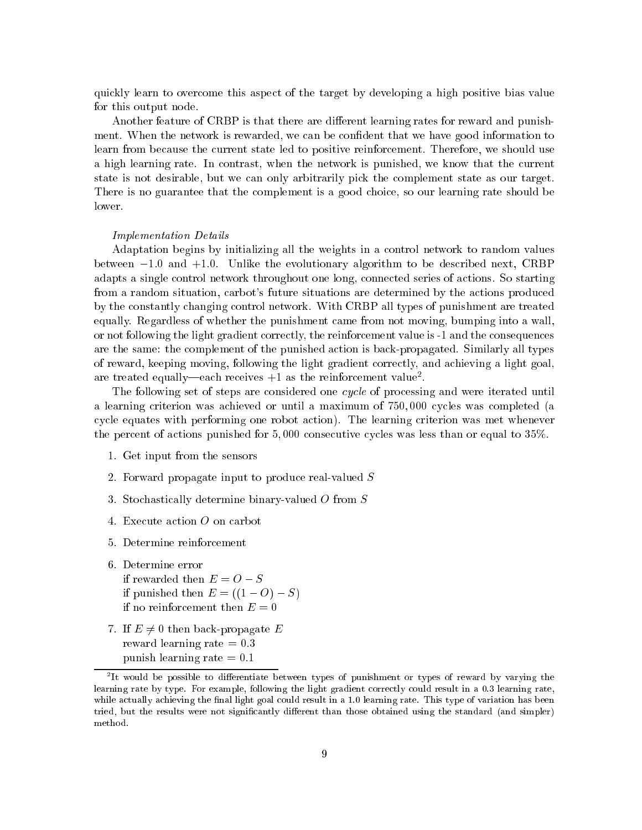quickly learn to overcome this aspect of the target by developing a high positive bias value for this output node.

Another feature of CRBP is that there are different learning rates for reward and punishment. When the network is rewarded, we can be confident that we have good information to learn from because the current state led to positive reinforcement. Therefore, we should use a high learning rate. In contrast, when the network is punished, we know that the current state is not desirable, but we can only arbitrarily pick the complement state as our target. There is no guarantee that the complement is a good choice, so our learning rate should be lower.

### Implementation Details

Adaptation begins by initializing all the weights in a control network to random values between  $-1.0$  and  $+1.0$ . Unlike the evolutionary algorithm to be described next, CRBP adapts a single control network throughout one long, connected series of actions. So starting from a random situation, carbot's future situations are determined by the actions produced by the constantly changing control network. With CRBP all types of punishment are treated equally. Regardless of whether the punishment came from not moving, bumping into a wall, or not following the light gradient correctly, the reinforcement value is -1 and the consequences are the same: the complement of the punished action is back-propagated. Similarly all types of reward, keeping moving, following the light gradient correctly, and achieving a light goal, are treated equally—each receives  $+1$  as the reinforcement value.

The following set of steps are considered one *cycle* of processing and were iterated until a learning criterion was achieved or until a maximum of 750; 000 cycles was completed (a cycle equates with performing one robot action). The learning criterion was met whenever the percent of actions punished for 5; 000 consecutive cycles was less than or equal to 35%.

- 1. Get input from the sensors
- 2. Forward propagate input to produce real-valued <sup>S</sup>
- 3. Stochastically determine binary-valued <sup>O</sup> from <sup>S</sup>
- 4. Execute action <sup>O</sup> on carbot
- 5. Determine reinforcement
- 6. Determine error if rewarded then  $E = O - S$ if punished then  $E = ((1 - O) - S)$ if no reinforcement then  $E = 0$
- 7. If  $E \neq 0$  then back-propagate E reward learning rate  $= 0.3$ punish learning rate  $= 0.1$

Tit would be possible to differentiate between types of punishment or types of reward by varying the learning rate by type. For example, following the light gradient correctly could result in a 0.3 learning rate, while actually achieving the final light goal could result in a 1.0 learning rate. This type of variation has been tried, but the results were not significantly different than those obtained using the standard (and simpler)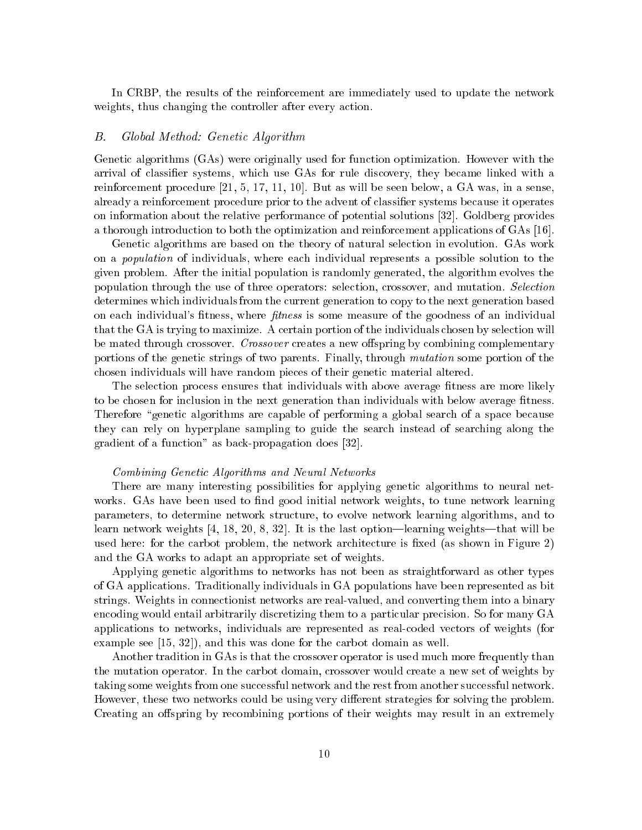In CRBP, the results of the reinforcement are immediately used to update the network weights, thus changing the controller after every action.

### B. Global Method: Genetic Algorithm

Genetic algorithms (GAs) were originally used for function optimization. However with the arrival of classier systems, which use GAs for rule discovery, they became linked with a reinforcement procedure [21, 5, 17, 11, 10]. But as will be seen below, a GA was, in a sense, already a reinforcement procedure prior to the advent of classier systems because it operates on information about the relative performance of potential solutions [32]. Goldberg provides a thorough introduction to both the optimization and reinforcement applications of GAs [16].

Genetic algorithms are based on the theory of natural selection in evolution. GAs work on a population of individuals, where each individual represents a possible solution to the given problem. After the initial population is randomly generated, the algorithm evolves the population through the use of three operators: selection, crossover, and mutation. Selection determines which individuals from the current generation to copy to the next generation based on each individual's fitness, where  $fitness$  is some measure of the goodness of an individual that the GA is trying to maximize. A certain portion of the individuals chosen by selection will be mated through crossover. Crossover creates a new offspring by combining complementary portions of the genetic strings of two parents. Finally, through mutation some portion of the chosen individuals will have random pieces of their genetic material altered.

The selection process ensures that individuals with above average fitness are more likely to be chosen for inclusion in the next generation than individuals with below average fitness. Therefore "genetic algorithms are capable of performing a global search of a space because they can rely on hyperplane sampling to guide the search instead of searching along the gradient of a function" as back-propagation does [32].

### Combining Genetic Algorithms and Neural Networks

There are many interesting possibilities for applying genetic algorithms to neural networks. GAs have been used to find good initial network weights, to tune network learning parameters, to determine network structure, to evolve network learning algorithms, and to learn network weights  $[4, 18, 20, 8, 32]$ . It is the last option—learning weights—that will be used here: for the carbot problem, the network architecture is fixed (as shown in Figure 2) and the GA works to adapt an appropriate set of weights.

Applying genetic algorithms to networks has not been as straightforward as other types of GA applications. Traditionally individuals in GA populations have been represented as bit strings. Weights in connectionist networks are real-valued, and converting them into a binary encoding would entail arbitrarily discretizing them to a particular precision. So for many GA applications to networks, individuals are represented as real-coded vectors of weights (for example see [15, 32]), and this was done for the carbot domain as well.

Another tradition in GAs is that the crossover operator is used much more frequently than the mutation operator. In the carbot domain, crossover would create a new set of weights by taking some weights from one successful network and the rest from another successful network. However, these two networks could be using very different strategies for solving the problem. Creating an offspring by recombining portions of their weights may result in an extremely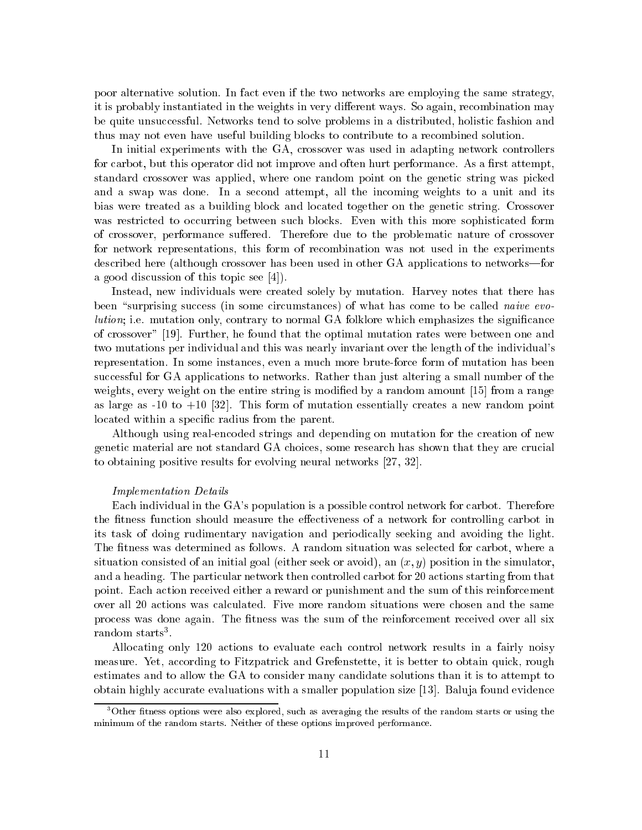poor alternative solution. In fact even if the two networks are employing the same strategy, it is probably instantiated in the weights in very different ways. So again, recombination may be quite unsuccessful. Networks tend to solve problems in a distributed, holistic fashion and thus may not even have useful building blocks to contribute to a recombined solution.

In initial experiments with the GA, crossover was used in adapting network controllers for carbot, but this operator did not improve and often hurt performance. As a first attempt, standard crossover was applied, where one random point on the genetic string was picked and a swap was done. In a second attempt, all the incoming weights to a unit and its bias were treated as a building block and located together on the genetic string. Crossover was restricted to occurring between such blocks. Even with this more sophisticated form of crossover, performance suffered. Therefore due to the problematic nature of crossover for network representations, this form of recombination was not used in the experiments described here (although crossover has been used in other GA applications to networks—for a good discussion of this topic see [4]).

Instead, new individuals were created solely by mutation. Harvey notes that there has been "surprising success (in some circumstances) of what has come to be called *naive evo*lution; i.e. mutation only, contrary to normal GA folklore which emphasizes the signicance of crossover" [19]. Further, he found that the optimal mutation rates were between one and two mutations per individual and this was nearly invariant over the length of the individual's representation. In some instances, even a much more brute-force form of mutation has been successful for GA applications to networks. Rather than just altering a small number of the weights, every weight on the entire string is modified by a random amount [15] from a range as large as  $-10$  to  $+10$  [32]. This form of mutation essentially creates a new random point located within a specific radius from the parent.

Although using real-encoded strings and depending on mutation for the creation of new genetic material are not standard GA choices, some research has shown that they are crucial to obtaining positive results for evolving neural networks [27, 32].

### Implementation Details

Each individual in the GA's population is a possible control network for carbot. Therefore the fitness function should measure the effectiveness of a network for controlling carbot in its task of doing rudimentary navigation and periodically seeking and avoiding the light. The fitness was determined as follows. A random situation was selected for carbot, where a situation consisted of an initial goal (either seek or avoid), an  $(x, y)$  position in the simulator, and a heading. The particular network then controlled carbot for 20 actions starting from that point. Each action received either a reward or punishment and the sum of this reinforcement over all 20 actions was calculated. Five more random situations were chosen and the same process was done again. The fitness was the sum of the reinforcement received over all six random starts<sup>.</sup>.

Allocating only 120 actions to evaluate each control network results in a fairly noisy measure. Yet, according to Fitzpatrick and Grefenstette, it is better to obtain quick, rough estimates and to allow the GA to consider many candidate solutions than it is to attempt to obtain highly accurate evaluations with a smaller population size [13]. Baluja found evidence

Uther htness options were also explored, such as averaging the results of the random starts or using the " minimum of the random starts. Neither of these options improved performance.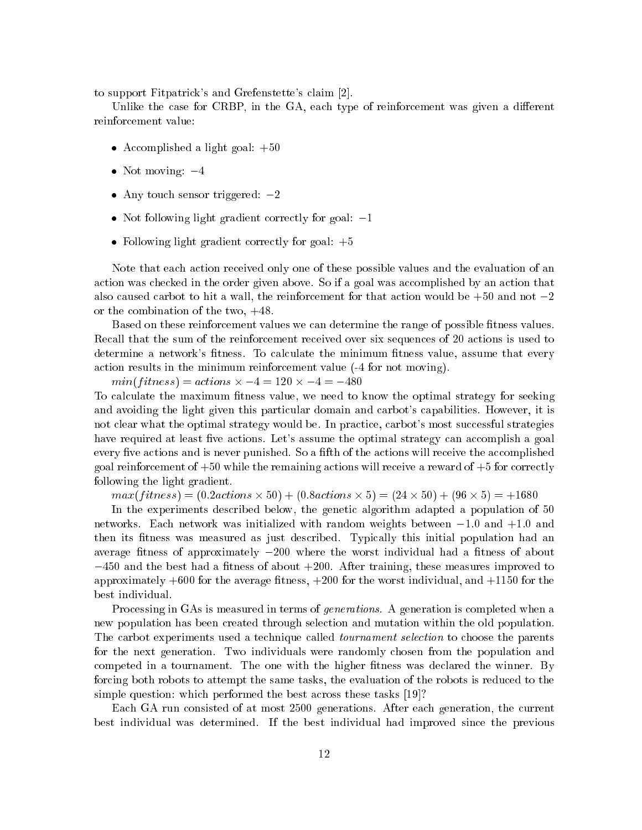to support Fitpatrick's and Grefenstette's claim [2].

Unlike the case for CRBP, in the GA, each type of reinforcement was given a different reinforcement value:

- Accomplished a light goal:  $+50$
- Not moving:  $-4$
- Any touch sensor triggered:  $-2$
- Not following light gradient correctly for goal:  $-1$
- Following light gradient correctly for goal:  $+5$

Note that each action received only one of these possible values and the evaluation of an action was checked in the order given above. So if a goal was accomplished by an action that also caused carbot to hit a wall, the reinforcement for that action would be  $+50$  and not  $-2$ or the combination of the two, +48.

Based on these reinforcement values we can determine the range of possible fitness values. Recall that the sum of the reinforcement received over six sequences of 20 actions is used to determine a network's fitness. To calculate the minimum fitness value, assume that every action results in the minimum reinforcement value (-4 for not moving).

min(f itness) = actions - 4 = 120 - 4 = 480 To calculate the maximum fitness value, we need to know the optimal strategy for seeking and avoiding the light given this particular domain and carbot's capabilities. However, it is not clear what the optimal strategy would be. In practice, carbot's most successful strategies have required at least five actions. Let's assume the optimal strategy can accomplish a goal every five actions and is never punished. So a fifth of the actions will receive the accomplished goal reinforcement of  $+50$  while the remaining actions will receive a reward of  $+5$  for correctly following the light gradient.

max(f itness) = (0:2actions - 50) + (0:8actions - 5) = (24 - 50) + (96 - 5) = +1680

In the experiments described below, the genetic algorithm adapted a population of 50 networks. Each network was initialized with random weights between  $-1.0$  and  $+1.0$  and then its fitness was measured as just described. Typically this initial population had an average fitness of approximately  $-200$  where the worst individual had a fitness of about  $-450$  and the best had a fitness of about  $+200$ . After training, these measures improved to approximately  $+600$  for the average fitness,  $+200$  for the worst individual, and  $+1150$  for the best individual.

Processing in GAs is measured in terms of *generations*. A generation is completed when a new population has been created through selection and mutation within the old population. The carbot experiments used a technique called *tournament selection* to choose the parents for the next generation. Two individuals were randomly chosen from the population and competed in a tournament. The one with the higher fitness was declared the winner. By forcing both robots to attempt the same tasks, the evaluation of the robots is reduced to the simple question: which performed the best across these tasks [19]?

Each GA run consisted of at most 2500 generations. After each generation, the current best individual was determined. If the best individual had improved since the previous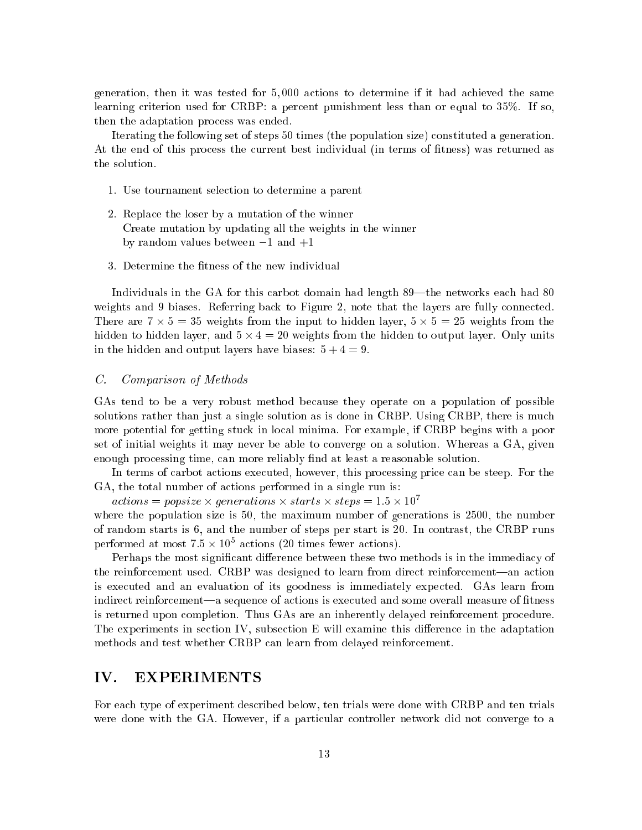generation, then it was tested for 5; 000 actions to determine if it had achieved the same learning criterion used for CRBP: a percent punishment less than or equal to 35%. If so, then the adaptation process was ended.

Iterating the following set of steps 50 times (the population size) constituted a generation. At the end of this process the current best individual (in terms of fitness) was returned as

- 1. Use tournament selection to determine a parent
- 2. Replace the loser by a mutation of the winner Create mutation by updating all the weights in the winner by random values between  $-1$  and  $+1$
- 3. Determine the fitness of the new individual

Individuals in the GA for this carbot domain had length  $89$ —the networks each had  $80$ weights and 9 biases. Referring back to Figure 2, note that the layers are fully connected. There is a 35 weights from the input to hidden layer, 5 - 35 - 35 weights from the in hidden to hidden to hidden to hidden to output layer, and 5 - 20 weights from the hidden to output layer. Only in the hidden and output layers have biases:  $5 + 4 = 9$ .

### C. Comparison of Methods

GAs tend to be a very robust method because they operate on a population of possible solutions rather than just a single solution as is done in CRBP. Using CRBP, there is much more potential for getting stuck in local minima. For example, if CRBP begins with a poor set of initial weights it may never be able to converge on a solution. Whereas a GA, given enough processing time, can more reliably find at least a reasonable solution.

In terms of carbot actions executed, however, this processing price can be steep. For the GA, the total number of actions performed in a single run is:

 $accions = popsize \times generations \times sturns \times steps = 1.5 \times 10^{-7}$ 

where the population size is 50, the maximum number of generations is 2500, the number of random starts is 6, and the number of steps per start is 20. In contrast, the CRBP runs  $periormed$  at most  $7.5 \times 10$  actions (20 times fewer actions).

Perhaps the most significant difference between these two methods is in the immediacy of the reinforcement used. CRBP was designed to learn from direct reinforcement—an action is executed and an evaluation of its goodness is immediately expected. GAs learn from indirect reinforcement—a sequence of actions is executed and some overall measure of fitness is returned upon completion. Thus GAs are an inherently delayed reinforcement procedure. The experiments in section IV, subsection E will examine this difference in the adaptation methods and test whether CRBP can learn from delayed reinforcement.

# IV. EXPERIMENTS

For each type of experiment described below, ten trials were done with CRBP and ten trials were done with the GA. However, if a particular controller network did not converge to a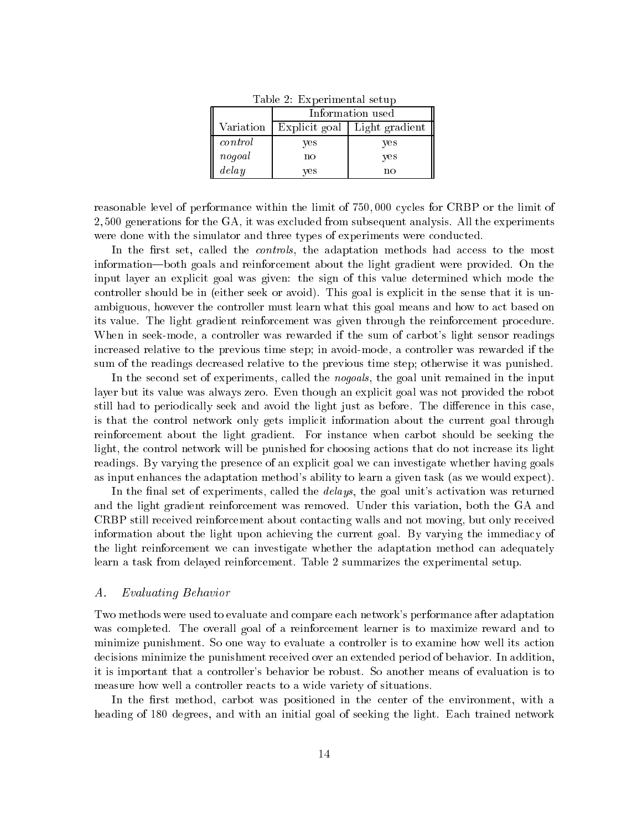|           | Information used |                                |  |
|-----------|------------------|--------------------------------|--|
| Variation |                  | Explicit goal   Light gradient |  |
| control   | yes              | yes                            |  |
| nogoal    | no               | yes                            |  |
| delay     | ves              | no                             |  |

Table 2: Experimental setup

reasonable level of performance within the limit of 750; 000 cycles for CRBP or the limit of 2; 500 generations for the GA, it was excluded from subsequent analysis. All the experiments were done with the simulator and three types of experiments were conducted.

In the first set, called the *controls*, the adaptation methods had access to the most information—both goals and reinforcement about the light gradient were provided. On the input layer an explicit goal was given: the sign of this value determined which mode the controller should be in (either seek or avoid). This goal is explicit in the sense that it is unambiguous, however the controller must learn what this goal means and how to act based on its value. The light gradient reinforcement was given through the reinforcement procedure. When in seek-mode, a controller was rewarded if the sum of carbot's light sensor readings increased relative to the previous time step; in avoid-mode, a controller was rewarded if the sum of the readings decreased relative to the previous time step; otherwise it was punished.

In the second set of experiments, called the *nogoals*, the goal unit remained in the input layer but its value was always zero. Even though an explicit goal was not provided the robot still had to periodically seek and avoid the light just as before. The difference in this case, is that the control network only gets implicit information about the current goal through reinforcement about the light gradient. For instance when carbot should be seeking the light, the control network will be punished for choosing actions that do not increase its light readings. By varying the presence of an explicit goal we can investigate whether having goals as input enhances the adaptation method's ability to learn a given task (as we would expect).

In the final set of experiments, called the *delays*, the goal unit's activation was returned and the light gradient reinforcement was removed. Under this variation, both the GA and CRBP still received reinforcement about contacting walls and not moving, but only received information about the light upon achieving the current goal. By varying the immediacy of the light reinforcement we can investigate whether the adaptation method can adequately learn a task from delayed reinforcement. Table 2 summarizes the experimental setup.

### A. Evaluating Behavior

Two methods were used to evaluate and compare each network's performance after adaptation was completed. The overall goal of a reinforcement learner is to maximize reward and to minimize punishment. So one way to evaluate a controller is to examine how well its action decisions minimize the punishment received over an extended period of behavior. In addition, it is important that a controller's behavior be robust. So another means of evaluation is to measure how well a controller reacts to a wide variety of situations.

In the first method, carbot was positioned in the center of the environment, with a heading of 180 degrees, and with an initial goal of seeking the light. Each trained network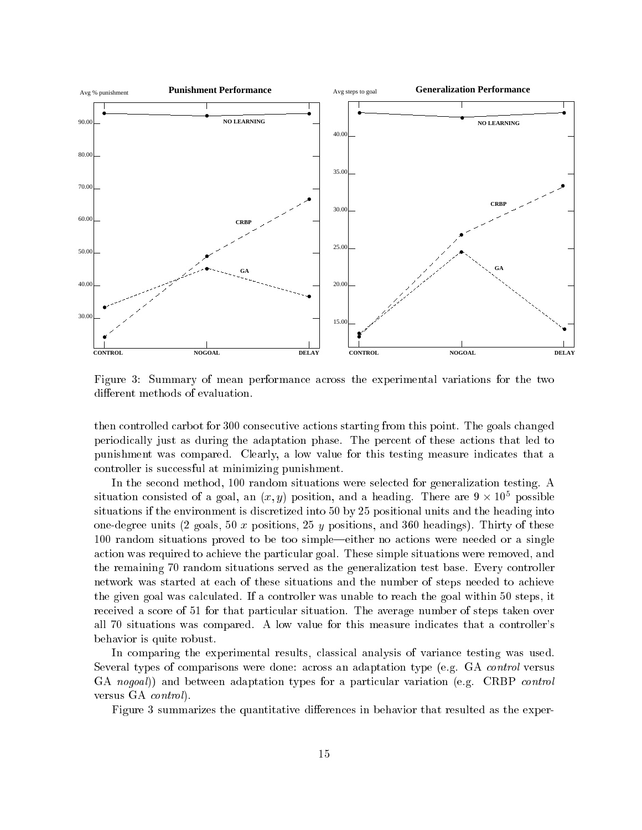

Figure 3: Summary of mean performance across the experimental variations for the two different methods of evaluation.

then controlled carbot for 300 consecutive actions starting from this point. The goals changed periodically just as during the adaptation phase. The percent of these actions that led to punishment was compared. Clearly, a low value for this testing measure indicates that a controller is successful at minimizing punishment.

In the second method, 100 random situations were selected for generalization testing. A situation consisted of a goal, an  $(x, y)$  position, and a neading. There are  $9 \times 10^{-5}$  possible situations if the environment is discretized into 50 by 25 positional units and the heading into one-degree units (2 goals, 50 x positions, 25 y positions, and 360 headings). Thirty of these 100 random situations proved to be too simple—either no actions were needed or a single action was required to achieve the particular goal. These simple situations were removed, and the remaining 70 random situations served as the generalization test base. Every controller network was started at each of these situations and the number of steps needed to achieve the given goal was calculated. If a controller was unable to reach the goal within 50 steps, it received a score of 51 for that particular situation. The average number of steps taken over all 70 situations was compared. A low value for this measure indicates that a controller's behavior is quite robust.

In comparing the experimental results, classical analysis of variance testing was used. Several types of comparisons were done: across an adaptation type (e.g. GA *control* versus GA nogoal)) and between adaptation types for a particular variation (e.g. CRBP control versus GA *control*).

Figure 3 summarizes the quantitative differences in behavior that resulted as the exper-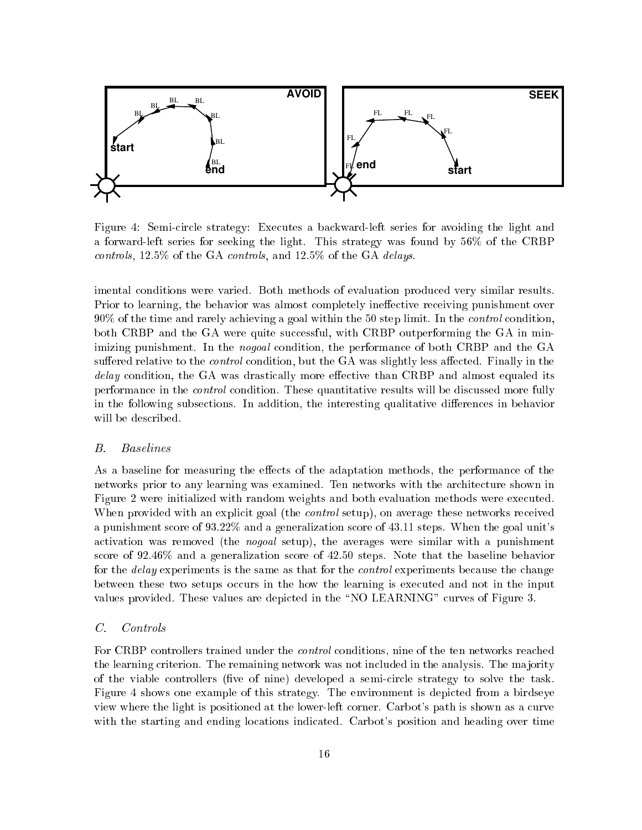

Figure 4: Semi-circle strategy: Executes a backward-left series for avoiding the light and a forward-left series for seeking the light. This strategy was found by 56% of the CRBP controls,  $12.5\%$  of the GA controls, and  $12.5\%$  of the GA delays.

imental conditions were varied. Both methods of evaluation produced very similar results. Prior to learning, the behavior was almost completely ineffective receiving punishment over 90% of the time and rarely achieving a goal within the 50 step limit. In the control condition, both CRBP and the GA were quite successful, with CRBP outperforming the GA in minimizing punishment. In the *nogoal* condition, the performance of both CRBP and the GA suffered relative to the *control* condition, but the GA was slightly less affected. Finally in the delay condition, the GA was drastically more effective than CRBP and almost equaled its performance in the control condition. These quantitative results will be discussed more fully in the following subsections. In addition, the interesting qualitative differences in behavior will be described.

### B. Baselines

As a baseline for measuring the effects of the adaptation methods, the performance of the networks prior to any learning was examined. Ten networks with the architecture shown in Figure 2 were initialized with random weights and both evaluation methods were executed. When provided with an explicit goal (the *control* setup), on average these networks received a punishment score of 93.22% and a generalization score of 43.11 steps. When the goal unit's activation was removed (the nogoal setup), the averages were similar with a punishment score of 92.46% and a generalization score of 42.50 steps. Note that the baseline behavior for the *delay* experiments is the same as that for the *control* experiments because the change between these two setups occurs in the how the learning is executed and not in the input values provided. These values are depicted in the "NO LEARNING" curves of Figure 3.

### C. Controls

For CRBP controllers trained under the control conditions, nine of the ten networks reached the learning criterion. The remaining network was not included in the analysis. The majority of the viable controllers (five of nine) developed a semi-circle strategy to solve the task. Figure 4 shows one example of this strategy. The environment is depicted from a birdseye view where the light is positioned at the lower-left corner. Carbot's path is shown as a curve with the starting and ending locations indicated. Carbot's position and heading over time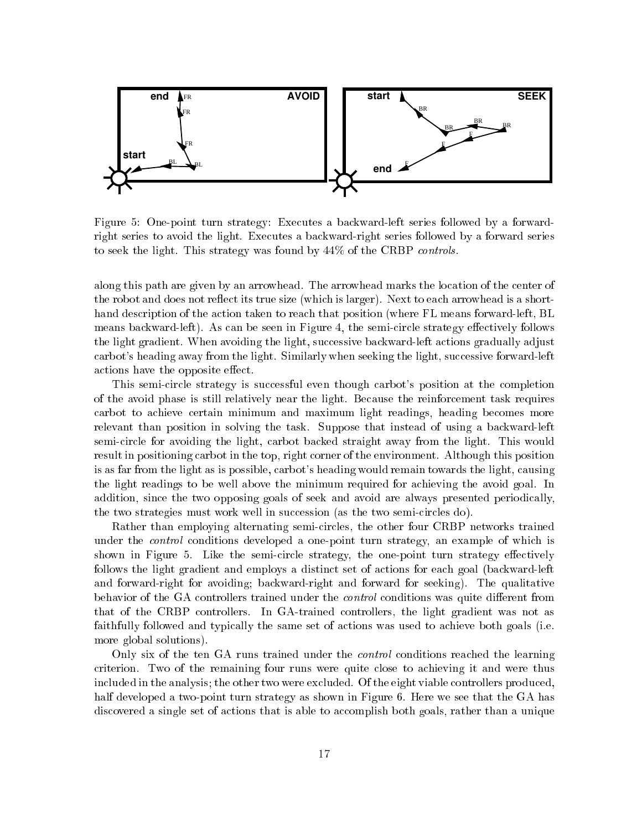

Figure 5: One-point turn strategy: Executes a backward-left series followed by a forwardright series to avoid the light. Executes a backward-right series followed by a forward series to seek the light. This strategy was found by  $44\%$  of the CRBP controls.

along this path are given by an arrowhead. The arrowhead marks the location of the center of the robot and does not reflect its true size (which is larger). Next to each arrowhead is a shorthand description of the action taken to reach that position (where FL means forward-left, BL means backward-left). As can be seen in Figure 4, the semi-circle strategy effectively follows the light gradient. When avoiding the light, successive backward-left actions gradually adjust carbot's heading away from the light. Similarly when seeking the light, successive forward-left actions have the opposite effect.

This semi-circle strategy is successful even though carbot's position at the completion of the avoid phase is still relatively near the light. Because the reinforcement task requires carbot to achieve certain minimum and maximum light readings, heading becomes more relevant than position in solving the task. Suppose that instead of using a backward-left semi-circle for avoiding the light, carbot backed straight away from the light. This would result in positioning carbot in the top, right corner of the environment. Although this position is as far from the light as is possible, carbot's heading would remain towards the light, causing the light readings to be well above the minimum required for achieving the avoid goal. In addition, since the two opposing goals of seek and avoid are always presented periodically, the two strategies must work well in succession (as the two semi-circles do).

Rather than employing alternating semi-circles, the other four CRBP networks trained under the *control* conditions developed a one-point turn strategy, an example of which is shown in Figure 5. Like the semi-circle strategy, the one-point turn strategy effectively follows the light gradient and employs a distinct set of actions for each goal (backward-left and forward-right for avoiding; backward-right and forward for seeking). The qualitative behavior of the GA controllers trained under the *control* conditions was quite different from that of the CRBP controllers. In GA-trained controllers, the light gradient was not as faithfully followed and typically the same set of actions was used to achieve both goals (i.e. more global solutions).

Only six of the ten GA runs trained under the control conditions reached the learning criterion. Two of the remaining four runs were quite close to achieving it and were thus included in the analysis; the other two were excluded. Of the eight viable controllers produced, half developed a two-point turn strategy as shown in Figure 6. Here we see that the GA has discovered a single set of actions that is able to accomplish both goals, rather than a unique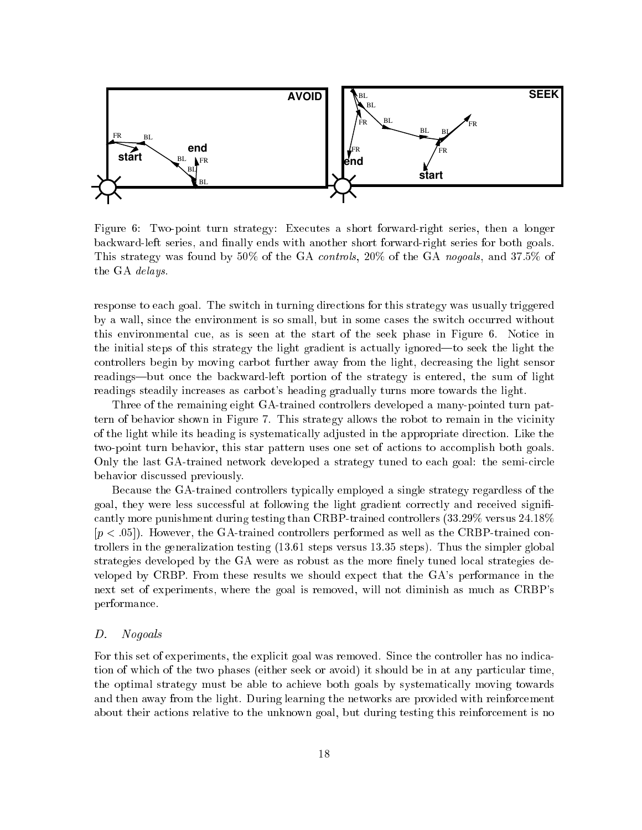

Figure 6: Two-point turn strategy: Executes a short forward-right series, then a longer backward-left series, and finally ends with another short forward-right series for both goals. This strategy was found by 50% of the GA controls, 20% of the GA nogoals, and 37.5% of the GA delays.

response to each goal. The switch in turning directions for this strategy was usually triggered by a wall, since the environment is so small, but in some cases the switch occurred without this environmental cue, as is seen at the start of the seek phase in Figure 6. Notice in the initial steps of this strategy the light gradient is actually ignored—to seek the light the controllers begin by moving carbot further away from the light, decreasing the light sensor readings—but once the backward-left portion of the strategy is entered, the sum of light readings steadily increases as carbot's heading gradually turns more towards the light.

Three of the remaining eight GA-trained controllers developed a many-pointed turn pattern of behavior shown in Figure 7. This strategy allows the robot to remain in the vicinity of the light while its heading is systematically adjusted in the appropriate direction. Like the two-point turn behavior, this star pattern uses one set of actions to accomplish both goals. Only the last GA-trained network developed a strategy tuned to each goal: the semi-circle behavior discussed previously.

Because the GA-trained controllers typically employed a single strategy regardless of the goal, they were less successful at following the light gradient correctly and received significantly more punishment during testing than CRBP-trained controllers (33.29% versus 24.18%  $[p < .05]$ . However, the GA-trained controllers performed as well as the CRBP-trained controllers in the generalization testing (13.61 steps versus 13.35 steps). Thus the simpler global strategies developed by the GA were as robust as the more finely tuned local strategies developed by CRBP. From these results we should expect that the GA's performance in the next set of experiments, where the goal is removed, will not diminish as much as CRBP's performance.

### D. Nogoals

For this set of experiments, the explicit goal was removed. Since the controller has no indication of which of the two phases (either seek or avoid) it should be in at any particular time, the optimal strategy must be able to achieve both goals by systematically moving towards and then away from the light. During learning the networks are provided with reinforcement about their actions relative to the unknown goal, but during testing this reinforcement is no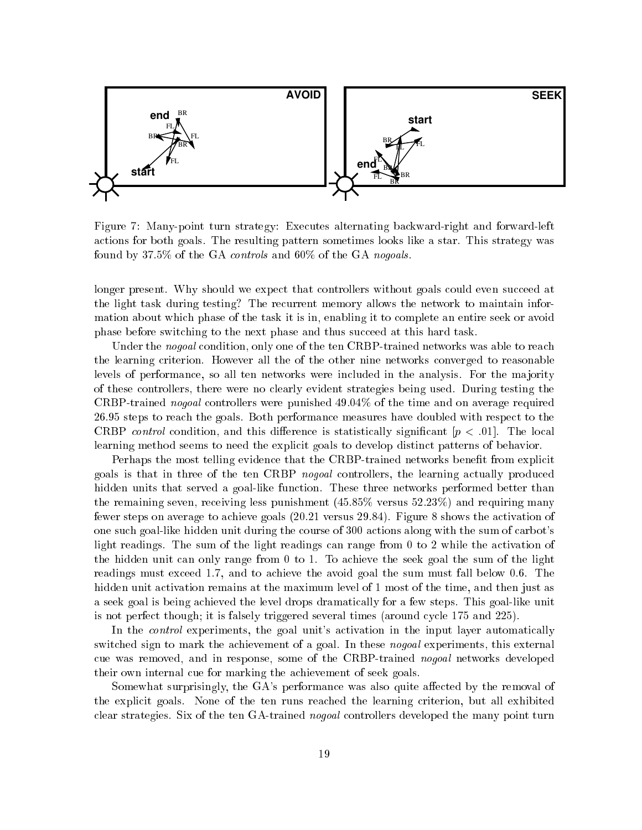

Figure 7: Many-point turn strategy: Executes alternating backward-right and forward-left actions for both goals. The resulting pattern sometimes looks like a star. This strategy was found by 37.5% of the GA *controls* and 60% of the GA *nogoals*.

longer present. Why should we expect that controllers without goals could even succeed at the light task during testing? The recurrent memory allows the network to maintain information about which phase of the task it is in, enabling it to complete an entire seek or avoid phase before switching to the next phase and thus succeed at this hard task.

Under the *nogoal* condition, only one of the ten CRBP-trained networks was able to reach the learning criterion. However all the of the other nine networks converged to reasonable levels of performance, so all ten networks were included in the analysis. For the majority of these controllers, there were no clearly evident strategies being used. During testing the CRBP-trained nogoal controllers were punished 49.04% of the time and on average required 26.95 steps to reach the goals. Both performance measures have doubled with respect to the CRBP control condition, and this difference is statistically significant  $[p < .01]$ . The local learning method seems to need the explicit goals to develop distinct patterns of behavior.

Perhaps the most telling evidence that the CRBP-trained networks benefit from explicit goals is that in three of the ten CRBP nogoal controllers, the learning actually produced hidden units that served a goal-like function. These three networks performed better than the remaining seven, receiving less punishment  $(45.85\%$  versus  $52.23\%)$  and requiring many fewer steps on average to achieve goals (20.21 versus 29.84). Figure 8 shows the activation of one such goal-like hidden unit during the course of 300 actions along with the sum of carbot's light readings. The sum of the light readings can range from 0 to 2 while the activation of the hidden unit can only range from 0 to 1. To achieve the seek goal the sum of the light readings must exceed 1.7, and to achieve the avoid goal the sum must fall below 0.6. The hidden unit activation remains at the maximum level of 1 most of the time, and then just as a seek goal is being achieved the level drops dramatically for a few steps. This goal-like unit is not perfect though; it is falsely triggered several times (around cycle 175 and 225).

In the *control* experiments, the goal unit's activation in the input layer automatically switched sign to mark the achievement of a goal. In these *nogoal* experiments, this external cue was removed, and in response, some of the CRBP-trained nogoal networks developed their own internal cue for marking the achievement of seek goals.

Somewhat surprisingly, the GA's performance was also quite affected by the removal of the explicit goals. None of the ten runs reached the learning criterion, but all exhibited clear strategies. Six of the ten GA-trained nogoal controllers developed the many point turn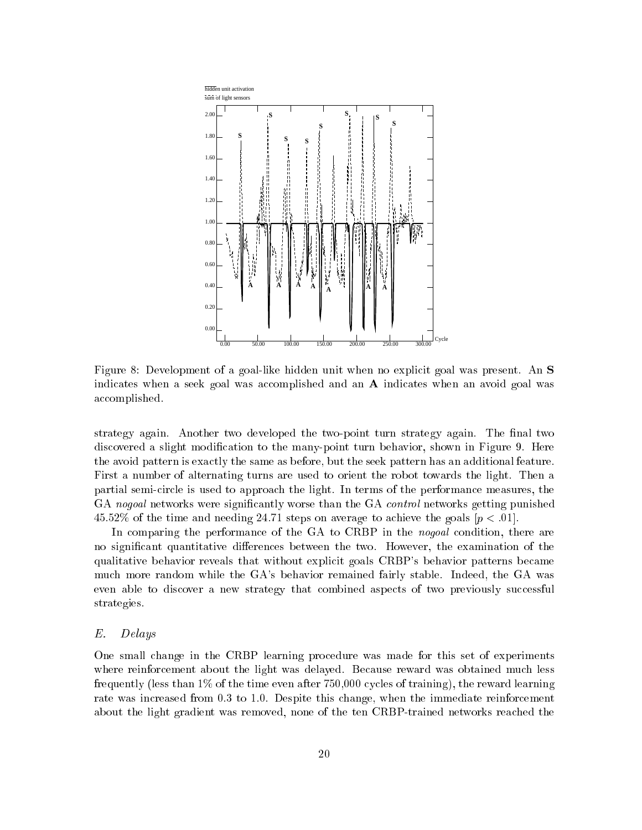

Figure 8: Development of a goal-like hidden unit when no explicit goal was present. An S indicates when a seek goal was accomplished and an A indicates when an avoid goal was accomplished.

strategy again. Another two developed the two-point turn strategy again. The final two discovered a slight modication to the many-point turn behavior, shown in Figure 9. Here the avoid pattern is exactly the same as before, but the seek pattern has an additional feature. First a number of alternating turns are used to orient the robot towards the light. Then a partial semi-circle is used to approach the light. In terms of the performance measures, the GA nogoal networks were significantly worse than the GA *control* networks getting punished 45.52% of the time and needing 24.71 steps on average to achieve the goals  $[p < .01]$ .

In comparing the performance of the GA to CRBP in the *nogoal* condition, there are no significant quantitative differences between the two. However, the examination of the qualitative behavior reveals that without explicit goals CRBP's behavior patterns became much more random while the GA's behavior remained fairly stable. Indeed, the GA was even able to discover a new strategy that combined aspects of two previously successful strategies.

### E. Delays

One small change in the CRBP learning procedure was made for this set of experiments where reinforcement about the light was delayed. Because reward was obtained much less frequently (less than 1% of the time even after 750,000 cycles of training), the reward learning rate was increased from 0.3 to 1.0. Despite this change, when the immediate reinforcement about the light gradient was removed, none of the ten CRBP-trained networks reached the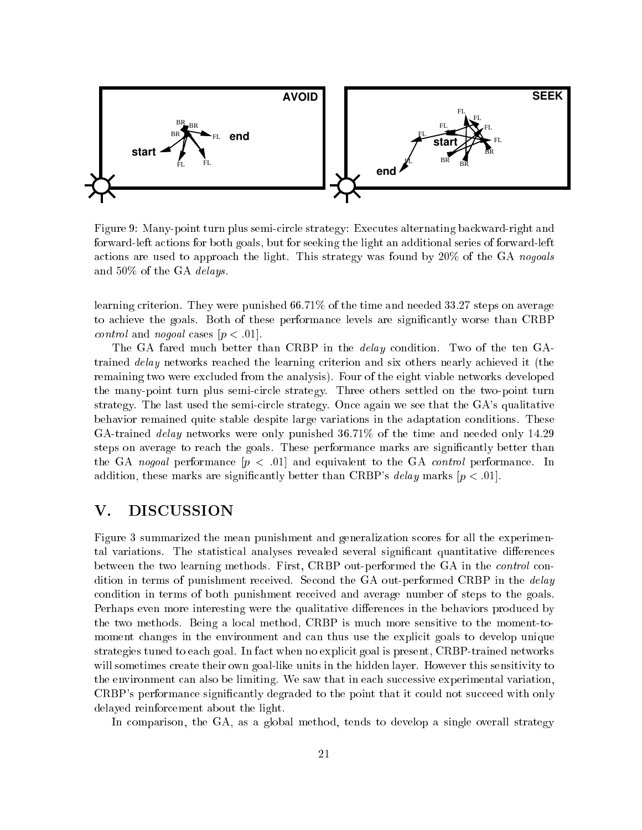

Figure 9: Many-point turn plus semi-circle strategy: Executes alternating backward-right and forward-left actions for both goals, but for seeking the light an additional series of forward-left actions are used to approach the light. This strategy was found by 20% of the GA nogoals and 50% of the GA delays.

learning criterion. They were punished 66.71% of the time and needed 33.27 steps on average to achieve the goals. Both of these performance levels are significantly worse than CRBP control and nogoal cases  $[p < .01]$ .

The GA fared much better than CRBP in the *delay* condition. Two of the ten GAtrained *delay* networks reached the learning criterion and six others nearly achieved it (the remaining two were excluded from the analysis). Four of the eight viable networks developed the many-point turn plus semi-circle strategy. Three others settled on the two-point turn strategy. The last used the semi-circle strategy. Once again we see that the GA's qualitative behavior remained quite stable despite large variations in the adaptation conditions. These GA-trained *delay* networks were only punished  $36.71\%$  of the time and needed only 14.29 steps on average to reach the goals. These performance marks are signicantly better than the GA nogoal performance  $[p \leq .01]$  and equivalent to the GA control performance. In addition, these marks are significantly better than CRBP's delay marks  $[p < .01]$ .

# V. DISCUSSION

Figure 3 summarized the mean punishment and generalization scores for all the experimental variations. The statistical analyses revealed several significant quantitative differences between the two learning methods. First, CRBP out-performed the GA in the control condition in terms of punishment received. Second the GA out-performed CRBP in the *delay* condition in terms of both punishment received and average number of steps to the goals. Perhaps even more interesting were the qualitative differences in the behaviors produced by the two methods. Being a local method, CRBP is much more sensitive to the moment-tomoment changes in the environment and can thus use the explicit goals to develop unique strategies tuned to each goal. In fact when no explicit goal is present, CRBP-trained networks will sometimes create their own goal-like units in the hidden layer. However this sensitivity to the environment can also be limiting. We saw that in each successive experimental variation, CRBP's performance signicantly degraded to the point that it could not succeed with only delayed reinforcement about the light.

In comparison, the GA, as a global method, tends to develop a single overall strategy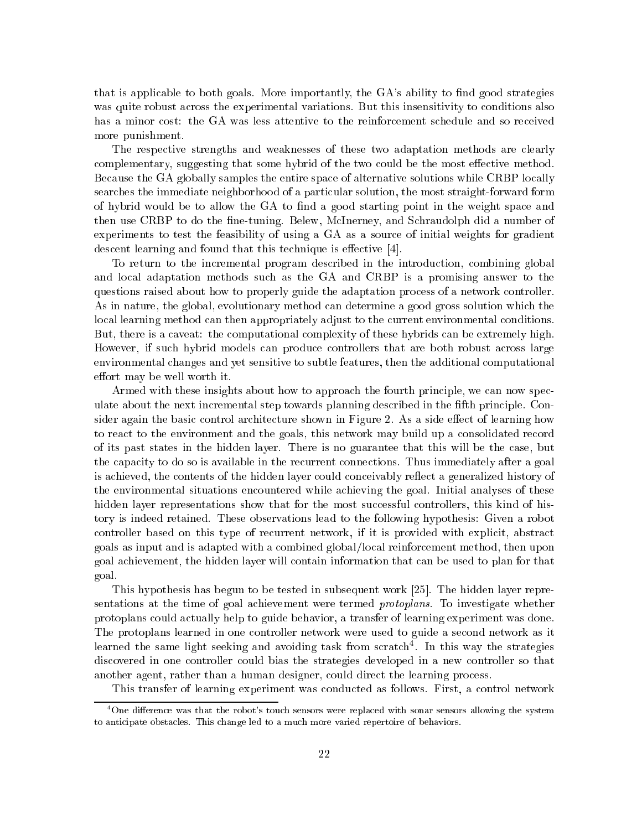that is applicable to both goals. More importantly, the  $GA$ 's ability to find good strategies was quite robust across the experimental variations. But this insensitivity to conditions also has a minor cost: the GA was less attentive to the reinforcement schedule and so received more punishment.

The respective strengths and weaknesses of these two adaptation methods are clearly complementary, suggesting that some hybrid of the two could be the most effective method. Because the GA globally samples the entire space of alternative solutions while CRBP locally searches the immediate neighborhood of a particular solution, the most straight-forward form of hybrid would be to allow the GA to find a good starting point in the weight space and then use CRBP to do the fine-tuning. Belew, McInerney, and Schraudolph did a number of experiments to test the feasibility of using a GA as a source of initial weights for gradient descent learning and found that this technique is effective [4].

To return to the incremental program described in the introduction, combining global and local adaptation methods such as the GA and CRBP is a promising answer to the questions raised about how to properly guide the adaptation process of a network controller. As in nature, the global, evolutionary method can determine a good gross solution which the local learning method can then appropriately adjust to the current environmental conditions. But, there is a caveat: the computational complexity of these hybrids can be extremely high. However, if such hybrid models can produce controllers that are both robust across large environmental changes and yet sensitive to subtle features, then the additional computational effort may be well worth it.

Armed with these insights about how to approach the fourth principle, we can now speculate about the next incremental step towards planning described in the fth principle. Consider again the basic control architecture shown in Figure 2. As a side effect of learning how to react to the environment and the goals, this network may build up a consolidated record of its past states in the hidden layer. There is no guarantee that this will be the case, but the capacity to do so is available in the recurrent connections. Thus immediately after a goal is achieved, the contents of the hidden layer could conceivably reflect a generalized history of the environmental situations encountered while achieving the goal. Initial analyses of these hidden layer representations show that for the most successful controllers, this kind of history is indeed retained. These observations lead to the following hypothesis: Given a robot controller based on this type of recurrent network, if it is provided with explicit, abstract goals as input and is adapted with a combined global/local reinforcement method, then upon goal achievement, the hidden layer will contain information that can be used to plan for that goal.

This hypothesis has begun to be tested in subsequent work [25]. The hidden layer representations at the time of goal achievement were termed protoplans. To investigate whether protoplans could actually help to guide behavior, a transfer of learning experiment was done. The protoplans learned in one controller network were used to guide a second network as it learned the same light seeking and avoiding task from scratch4. In this way the strategies discovered in one controller could bias the strategies developed in a new controller so that another agent, rather than a human designer, could direct the learning process.

This transfer of learning experiment was conducted as follows. First, a control network

<sup>&</sup>lt;sup>4</sup>One difference was that the robot's touch sensors were replaced with sonar sensors allowing the system to anticipate obstacles. This change led to a much more varied repertoire of behaviors.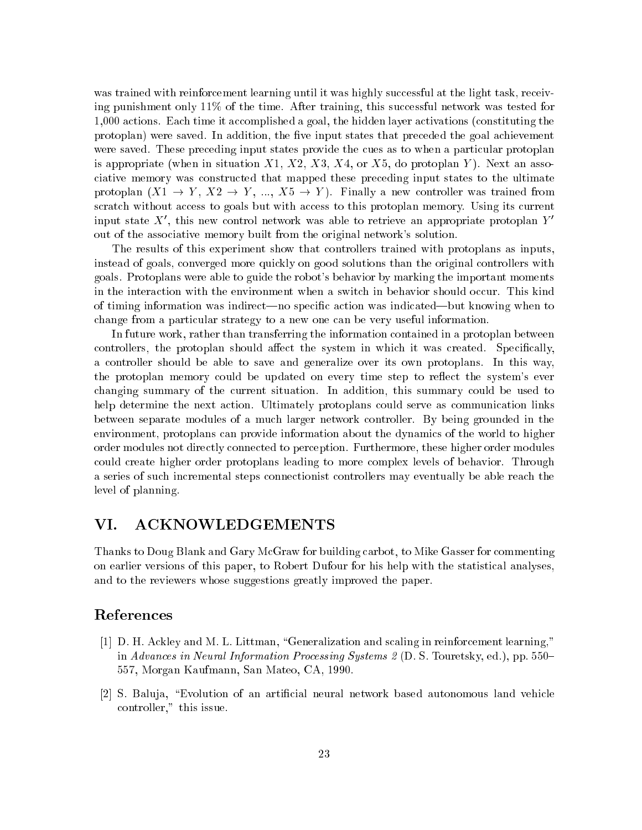was trained with reinforcement learning until it was highly successful at the light task, receiving punishment only 11% of the time. After training, this successful network was tested for 1,000 actions. Each time it accomplished a goal, the hidden layer activations (constituting the protoplan) were saved. In addition, the five input states that preceded the goal achievement were saved. These preceding input states provide the cues as to when a particular protoplan is appropriate (when in situation  $X1, X2, X3, X4$ , or  $X5$ , do protoplan Y). Next an associative memory was constructed that mapped these preceding input states to the ultimate protoplan  $(X1 \rightarrow Y, X2 \rightarrow Y, ..., X5 \rightarrow Y)$ . Finally a new controller was trained from scratch without access to goals but with access to this protoplan memory. Using its current input state  $\Lambda$  , this new control network was able to retrieve an appropriate protoplan  $Y$ out of the associative memory built from the original network's solution.

The results of this experiment show that controllers trained with protoplans as inputs, instead of goals, converged more quickly on good solutions than the original controllers with goals. Protoplans were able to guide the robot's behavior by marking the important moments in the interaction with the environment when a switch in behavior should occur. This kind of timing information was indirect—no specific action was indicated—but knowing when to change from a particular strategy to a new one can be very useful information.

In future work, rather than transferring the information contained in a protoplan between controllers, the protoplan should affect the system in which it was created. Specifically, a controller should be able to save and generalize over its own protoplans. In this way, the protoplan memory could be updated on every time step to reflect the system's ever changing summary of the current situation. In addition, this summary could be used to help determine the next action. Ultimately protoplans could serve as communication links between separate modules of a much larger network controller. By being grounded in the environment, protoplans can provide information about the dynamics of the world to higher order modules not directly connected to perception. Furthermore, these higher order modules could create higher order protoplans leading to more complex levels of behavior. Through a series of such incremental steps connectionist controllers may eventually be able reach the level of planning.

# VI. ACKNOWLEDGEMENTS

Thanks to Doug Blank and Gary McGraw for building carbot, to Mike Gasser for commenting on earlier versions of this paper, to Robert Dufour for his help with the statistical analyses, and to the reviewers whose suggestions greatly improved the paper.

# References

- $[1]$  D. H. Ackley and M. L. Littman, "Generalization and scaling in reinforcement learning," in Advances in Neural Information Processing Systems  $2$  (D. S. Touretsky, ed.), pp. 550– 557, Morgan Kaufmann, San Mateo, CA, 1990.
- [2] S. Baluja, \Evolution of an articial neural network based autonomous land vehicle controller," this issue.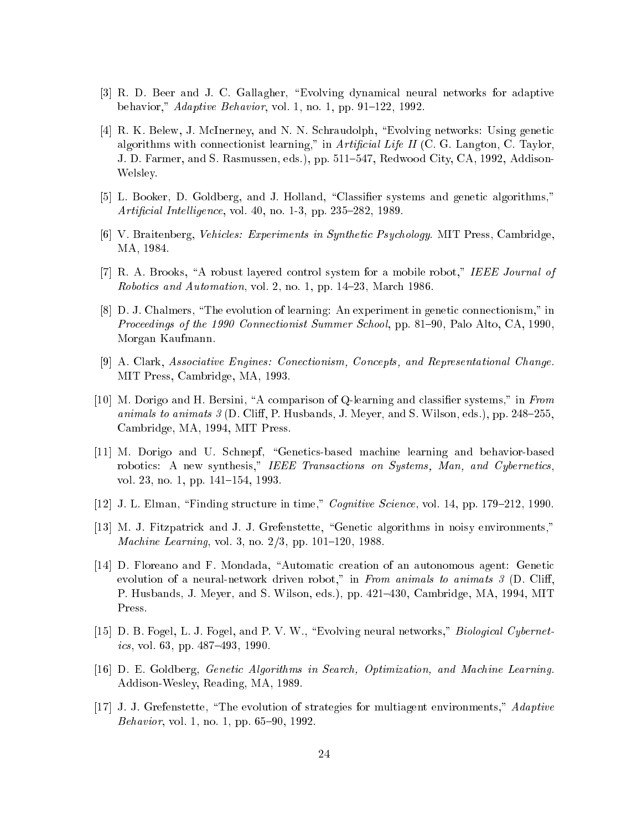- [3] R. D. Beer and J. C. Gallagher, \Evolving dynamical neural networks for adaptive behavior,"  $Adaptive\ Behavior$ , vol. 1, no. 1, pp. 91–122, 1992.
- [4] R. K. Belew, J. McInerney, and N. N. Schraudolph, \Evolving networks: Using genetic algorithms with connectionist learning," in Artificial Life II (C. G. Langton, C. Taylor, J. D. Farmer, and S. Rasmussen, eds.), pp. 511–547, Redwood City, CA, 1992, Addison-Welsley.
- [5] L. Booker, D. Goldberg, and J. Holland, "Classifier systems and genetic algorithms," Artificial Intelligence, vol. 40, no. 1-3, pp. 235-282, 1989.
- [6] V. Braitenberg, Vehicles: Experiments in Synthetic Psychology. MIT Press, Cambridge, MA, 1984.
- [7] R. A. Brooks, "A robust layered control system for a mobile robot," IEEE Journal of Robotics and Automation, vol. 2, no. 1, pp.  $14-23$ , March 1986.
- [8] D. J. Chalmers, "The evolution of learning: An experiment in genetic connectionism," in Proceedings of the 1990 Connectionist Summer School, pp. 81–90, Palo Alto, CA, 1990, Morgan Kaufmann.
- [9] A. Clark, Associative Engines: Conectionism, Concepts, and Representational Change. MIT Press, Cambridge, MA, 1993.
- [10] M. Dorigo and H. Bersini, "A comparison of Q-learning and classifier systems," in From animals to animats  $\beta$  (D. Cliff, P. Husbands, J. Meyer, and S. Wilson, eds.), pp. 248-255, Cambridge, MA, 1994, MIT Press.
- [11] M. Dorigo and U. Schnepf, "Genetics-based machine learning and behavior-based robotics: A new synthesis," IEEE Transactions on Systems, Man, and Cybernetics, vol. 23, no. 1, pp. 141–154, 1993.
- [12] J. L. Elman, "Finding structure in time," *Cognitive Science*, vol. 14, pp. 179–212, 1990.
- [13] M. J. Fitzpatrick and J. J. Grefenstette, "Genetic algorithms in noisy environments," *Machine Learning, vol.* 3, no.  $2/3$ , pp.  $101–120$ , 1988.
- [14] D. Floreano and F. Mondada, "Automatic creation of an autonomous agent: Genetic evolution of a neural-network driven robot," in From animals to animats  $\beta$  (D. Cliff, P. Husbands, J. Meyer, and S. Wilson, eds.), pp. 421–430, Cambridge, MA, 1994, MIT Press.
- [15] D. B. Fogel, L. J. Fogel, and P. V. W., "Evolving neural networks," *Biological Cybernet*ics, vol. 63, pp.  $487–493$ , 1990.
- [16] D. E. Goldberg, Genetic Algorithms in Search, Optimization, and Machine Learning. Addison-Wesley, Reading, MA, 1989.
- [17] J. J. Grefenstette, \The evolution of strategies for multiagent environments," Adaptive Behavior, vol. 1, no. 1, pp.  $65-90$ , 1992.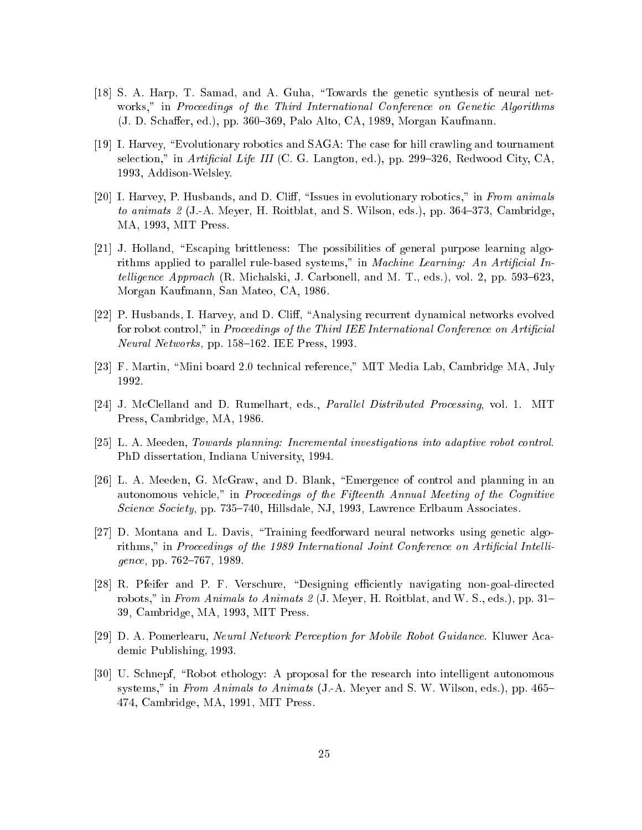- [18] S. A. Harp, T. Samad, and A. Guha, \Towards the genetic synthesis of neural networks," in Proceedings of the Third International Conference on Genetic Algorithms (J. D. Schaffer, ed.), pp. 360–369, Palo Alto, CA, 1989, Morgan Kaufmann.
- [19] I. Harvey, \Evolutionary robotics and SAGA: The case for hill crawling and tournament selection," in *Artificial Life III* (C. G. Langton, ed.), pp. 299–326, Redwood City, CA, 1993, Addison-Welsley.
- [20] I. Harvey, P. Husbands, and D. Cliff, "Issues in evolutionary robotics," in From animals to animats  $\ell$  (J.-A. Meyer, H. Roitblat, and S. Wilson, eds.), pp. 364–373, Cambridge, MA, 1993, MIT Press.
- [21] J. Holland, "Escaping brittleness: The possibilities of general purpose learning algorithms applied to parallel rule-based systems," in *Machine Learning: An Artificial In*telligence Approach (R. Michalski, J. Carbonell, and M. T., eds.), vol. 2, pp. 593–623, Morgan Kaufmann, San Mateo, CA, 1986.
- [22] P. Husbands, I. Harvey, and D. Cliff, "Analysing recurrent dynamical networks evolved for robot control," in Proceedings of the Third IEE International Conference on Artificial  $Neural Networks$ , pp. 158-162. IEE Press, 1993.
- [23] F. Martin, "Mini board 2.0 technical reference," MIT Media Lab, Cambridge MA, July 1992.
- [24] J. McClelland and D. Rumelhart, eds., *Parallel Distributed Processing*, vol. 1. MIT Press, Cambridge, MA, 1986.
- [25] L. A. Meeden, Towards planning: Incremental investigations into adaptive robot control. PhD dissertation, Indiana University, 1994.
- [26] L. A. Meeden, G. McGraw, and D. Blank, \Emergence of control and planning in an autonomous vehicle," in Proceedings of the Fifteenth Annual Meeting of the Cognitive Science Society, pp. 735-740, Hillsdale, NJ, 1993, Lawrence Erlbaum Associates.
- [27] D. Montana and L. Davis, "Training feedforward neural networks using genetic algorithms," in Proceedings of the 1989 International Joint Conference on Artificial Intelliqence, pp. 762-767, 1989.
- [28] R. Pfeifer and P. F. Verschure, "Designing efficiently navigating non-goal-directed robots," in From Animals to Animats  $\ell$  (J. Meyer, H. Roitblat, and W. S., eds.), pp. 31– 39, Cambridge, MA, 1993, MIT Press.
- [29] D. A. Pomerlearu, Neural Network Perception for Mobile Robot Guidance. Kluwer Academic Publishing, 1993.
- [30] U. Schnepf, "Robot ethology: A proposal for the research into intelligent autonomous systems," in From Animals to Animats (J.-A. Meyer and S. W. Wilson, eds.), pp. 465– 474, Cambridge, MA, 1991, MIT Press.